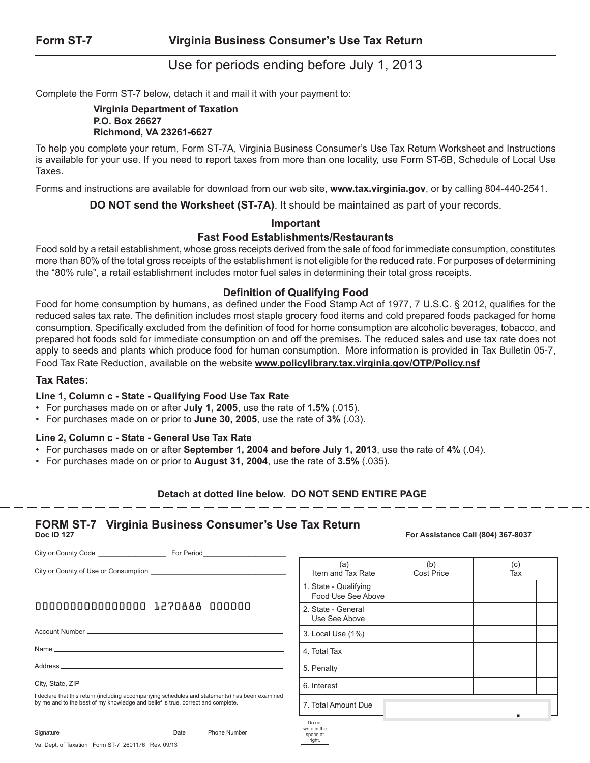# Use for periods ending before July 1, 2013

Complete the Form ST-7 below, detach it and mail it with your payment to:

#### **Virginia Department of Taxation P.O. Box 26627 Richmond, VA 23261-6627**

To help you complete your return, Form ST-7A, Virginia Business Consumer's Use Tax Return Worksheet and Instructions is available for your use. If you need to report taxes from more than one locality, use Form ST-6B, Schedule of Local Use Taxes.

Forms and instructions are available for download from our web site, **www.tax.virginia.gov**, or by calling 804-440-2541.

**DO NOT send the Worksheet (ST-7A)**. It should be maintained as part of your records.

#### **Important**

#### **Fast Food Establishments/Restaurants**

Food sold by a retail establishment, whose gross receipts derived from the sale of food for immediate consumption, constitutes more than 80% of the total gross receipts of the establishment is not eligible for the reduced rate. For purposes of determining the "80% rule", a retail establishment includes motor fuel sales in determining their total gross receipts.

### **Definition of Qualifying Food**

Food for home consumption by humans, as defined under the Food Stamp Act of 1977, 7 U.S.C. § 2012, qualifies for the reduced sales tax rate. The definition includes most staple grocery food items and cold prepared foods packaged for home consumption. Specifically excluded from the definition of food for home consumption are alcoholic beverages, tobacco, and prepared hot foods sold for immediate consumption on and off the premises. The reduced sales and use tax rate does not apply to seeds and plants which produce food for human consumption. More information is provided in Tax Bulletin 05-7, Food Tax Rate Reduction, available on the website **www.policylibrary.tax.virginia.gov/OTP/Policy.nsf**

#### **Tax Rates:**

#### **Line 1, Column c - State - Qualifying Food Use Tax Rate**

- • For purchases made on or after **July 1, 2005**, use the rate of **1.5%** (.015).
- • For purchases made on or prior to **June 30, 2005**, use the rate of **3%** (.03).

#### **Line 2, Column c - State - General Use Tax Rate**

- • For purchases made on or after **September 1, 2004 and before July 1, 2013**, use the rate of **4%** (.04).
- • For purchases made on or prior to **August 31, 2004**, use the rate of **3.5%** (.035).

#### **Detach at dotted line below. DO NOT SEND ENTIRE PAGE**

space at right.

# **FORM ST-7 Virginia Business Consumer's Use Tax Return**

#### **Doc ID 127 For Assistance Call (804) 367-8037**

City or County Code \_\_\_\_\_\_\_\_\_\_\_\_\_\_\_\_\_\_ For Period\_\_\_\_\_\_\_\_\_\_\_\_\_\_\_\_\_\_\_\_\_\_ City or County of Use or Consumption \_ Account Number Name Address City, State, ZIP 0000000000000000 1270888 000000 I declare that this return (including accompanying schedules and statements) has been examined by me and to the best of my knowledge and belief is true, correct and complete.

| (a)<br>Item and Tax Rate                    | (b)<br><b>Cost Price</b> | (c)<br>Tax |  |
|---------------------------------------------|--------------------------|------------|--|
| 1. State - Qualifying<br>Food Use See Above |                          |            |  |
| 2. State - General<br>Use See Above         |                          |            |  |
| 3. Local Use (1%)                           |                          |            |  |
| 4. Total Tax                                |                          |            |  |
| 5. Penalty                                  |                          |            |  |
| 6. Interest                                 |                          |            |  |
| 7. Total Amount Due                         |                          |            |  |
| Do not<br>write in the                      |                          |            |  |

Signature Date Phone Number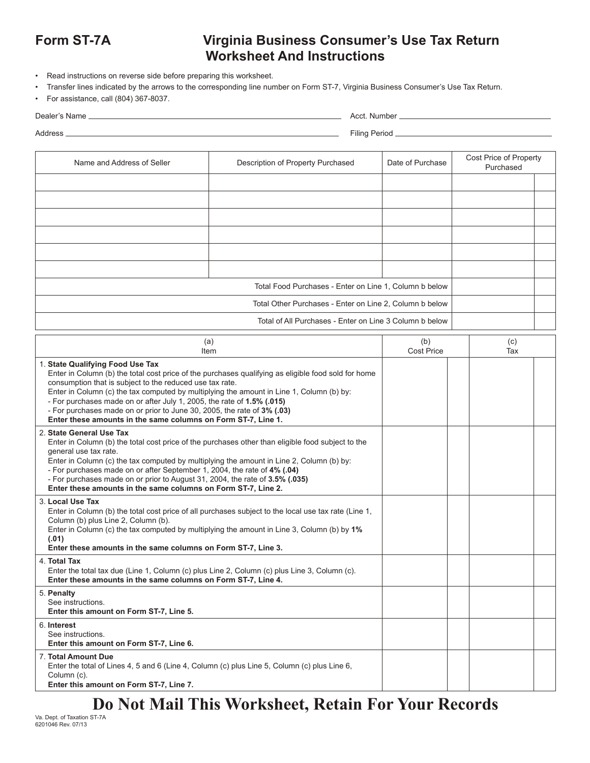# **Form ST-7A Virginia Business Consumer's Use Tax Return Worksheet And Instructions**

- Read instructions on reverse side before preparing this worksheet.
- Transfer lines indicated by the arrows to the corresponding line number on Form ST-7, Virginia Business Consumer's Use Tax Return.
- For assistance, call (804) 367-8037.

| Dealer's Name | Acct. Number _ |
|---------------|----------------|

Address Filing Period

| Name and Address of Seller                                                                                                                                                                                                                                                                                                                                                                                                                                                                                            | Description of Property Purchased                                                                    | Date of Purchase  | Cost Price of Property<br>Purchased |  |  |
|-----------------------------------------------------------------------------------------------------------------------------------------------------------------------------------------------------------------------------------------------------------------------------------------------------------------------------------------------------------------------------------------------------------------------------------------------------------------------------------------------------------------------|------------------------------------------------------------------------------------------------------|-------------------|-------------------------------------|--|--|
|                                                                                                                                                                                                                                                                                                                                                                                                                                                                                                                       |                                                                                                      |                   |                                     |  |  |
|                                                                                                                                                                                                                                                                                                                                                                                                                                                                                                                       |                                                                                                      |                   |                                     |  |  |
|                                                                                                                                                                                                                                                                                                                                                                                                                                                                                                                       |                                                                                                      |                   |                                     |  |  |
|                                                                                                                                                                                                                                                                                                                                                                                                                                                                                                                       |                                                                                                      |                   |                                     |  |  |
|                                                                                                                                                                                                                                                                                                                                                                                                                                                                                                                       |                                                                                                      |                   |                                     |  |  |
|                                                                                                                                                                                                                                                                                                                                                                                                                                                                                                                       | Total Food Purchases - Enter on Line 1, Column b below                                               |                   |                                     |  |  |
|                                                                                                                                                                                                                                                                                                                                                                                                                                                                                                                       | Total Other Purchases - Enter on Line 2, Column b below                                              |                   |                                     |  |  |
|                                                                                                                                                                                                                                                                                                                                                                                                                                                                                                                       | Total of All Purchases - Enter on Line 3 Column b below                                              |                   |                                     |  |  |
| (a)                                                                                                                                                                                                                                                                                                                                                                                                                                                                                                                   | (b)                                                                                                  | (c)               |                                     |  |  |
| Item                                                                                                                                                                                                                                                                                                                                                                                                                                                                                                                  |                                                                                                      | <b>Cost Price</b> | Tax                                 |  |  |
| 1. State Qualifying Food Use Tax<br>Enter in Column (b) the total cost price of the purchases qualifying as eligible food sold for home<br>consumption that is subject to the reduced use tax rate.<br>Enter in Column (c) the tax computed by multiplying the amount in Line 1, Column (b) by:<br>- For purchases made on or after July 1, 2005, the rate of 1.5% (.015)<br>- For purchases made on or prior to June 30, 2005, the rate of 3% (.03)<br>Enter these amounts in the same columns on Form ST-7, Line 1. |                                                                                                      |                   |                                     |  |  |
| 2. State General Use Tax<br>Enter in Column (b) the total cost price of the purchases other than eligible food subject to the<br>general use tax rate.<br>Enter in Column (c) the tax computed by multiplying the amount in Line 2, Column (b) by:<br>- For purchases made on or after September 1, 2004, the rate of 4% (.04)<br>- For purchases made on or prior to August 31, 2004, the rate of 3.5% (.035)<br>Enter these amounts in the same columns on Form ST-7, Line 2.                                       |                                                                                                      |                   |                                     |  |  |
| 3. Local Use Tax<br>Column (b) plus Line 2, Column (b).<br>Enter in Column (c) the tax computed by multiplying the amount in Line 3, Column (b) by 1%<br>(.01)<br>Enter these amounts in the same columns on Form ST-7, Line 3.                                                                                                                                                                                                                                                                                       | Enter in Column (b) the total cost price of all purchases subject to the local use tax rate (Line 1, |                   |                                     |  |  |
| 4. Total Tax<br>Enter the total tax due (Line 1, Column (c) plus Line 2, Column (c) plus Line 3, Column (c).<br>Enter these amounts in the same columns on Form ST-7, Line 4.                                                                                                                                                                                                                                                                                                                                         |                                                                                                      |                   |                                     |  |  |
| 5. Penalty<br>See instructions.<br>Enter this amount on Form ST-7, Line 5.                                                                                                                                                                                                                                                                                                                                                                                                                                            |                                                                                                      |                   |                                     |  |  |
| 6. Interest<br>See instructions.<br>Enter this amount on Form ST-7, Line 6.                                                                                                                                                                                                                                                                                                                                                                                                                                           |                                                                                                      |                   |                                     |  |  |
| 7. Total Amount Due<br>Enter the total of Lines 4, 5 and 6 (Line 4, Column (c) plus Line 5, Column (c) plus Line 6,<br>Column (c).<br>Enter this amount on Form ST-7, Line 7.                                                                                                                                                                                                                                                                                                                                         |                                                                                                      |                   |                                     |  |  |

# **Do Not Mail This Worksheet, Retain For Your Records**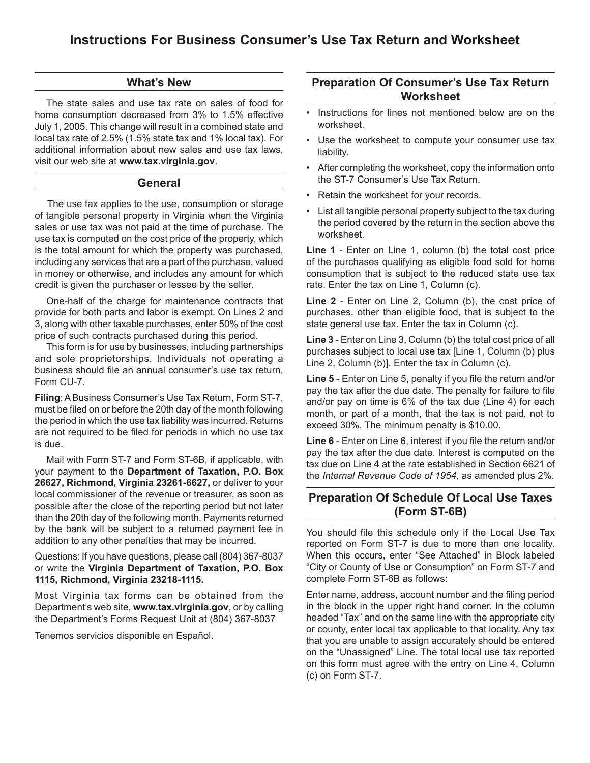### **What's New**

 The state sales and use tax rate on sales of food for home consumption decreased from 3% to 1.5% effective July 1, 2005. This change will result in a combined state and local tax rate of 2.5% (1.5% state tax and 1% local tax). For additional information about new sales and use tax laws, visit our web site at **www.tax.virginia.gov**.

#### **General**

 The use tax applies to the use, consumption or storage of tangible personal property in Virginia when the Virginia sales or use tax was not paid at the time of purchase. The use tax is computed on the cost price of the property, which is the total amount for which the property was purchased, including any services that are a part of the purchase, valued in money or otherwise, and includes any amount for which credit is given the purchaser or lessee by the seller.

 One-half of the charge for maintenance contracts that provide for both parts and labor is exempt. On Lines 2 and 3, along with other taxable purchases, enter 50% of the cost price of such contracts purchased during this period.

 This form is for use by businesses, including partnerships and sole proprietorships. Individuals not operating a business should file an annual consumer's use tax return, Form CU-7.

Filing: A Business Consumer's Use Tax Return, Form ST-7, must be filed on or before the 20th day of the month following the period in which the use tax liability was incurred. Returns are not required to be filed for periods in which no use tax is due.

 Mail with Form ST-7 and Form ST-6B, if applicable, with your payment to the **Department of Taxation, P.O. Box 26627, Richmond, Virginia 23261-6627,** or deliver to your local commissioner of the revenue or treasurer, as soon as possible after the close of the reporting period but not later than the 20th day of the following month. Payments returned by the bank will be subject to a returned payment fee in addition to any other penalties that may be incurred.

Questions: If you have questions, please call (804) 367‑8037 or write the **Virginia Department of Taxation, P.O. Box 1115, Richmond, Virginia 23218‑1115.**

Most Virginia tax forms can be obtained from the Department's web site, **www.tax.virginia.gov**, or by calling the Department's Forms Request Unit at (804) 367-8037

Tenemos servicios disponible en Español.

### **Preparation Of Consumer's Use Tax Return Worksheet**

- Instructions for lines not mentioned below are on the worksheet.
- • Use the worksheet to compute your consumer use tax liability.
- After completing the worksheet, copy the information onto the ST-7 Consumer's Use Tax Return.
- • Retain the worksheet for your records.
- • List all tangible personal property subject to the tax during the period covered by the return in the section above the worksheet.

**Line 1** - Enter on Line 1, column (b) the total cost price of the purchases qualifying as eligible food sold for home consumption that is subject to the reduced state use tax rate. Enter the tax on Line 1, Column (c).

**Line 2** - Enter on Line 2, Column (b), the cost price of purchases, other than eligible food, that is subject to the state general use tax. Enter the tax in Column (c).

**Line 3** - Enter on Line 3, Column (b) the total cost price of all purchases subject to local use tax [Line 1, Column (b) plus Line 2, Column (b)]. Enter the tax in Column (c).

**Line 5** - Enter on Line 5, penalty if you file the return and/or pay the tax after the due date. The penalty for failure to file and/or pay on time is 6% of the tax due (Line 4) for each month, or part of a month, that the tax is not paid, not to exceed 30%. The minimum penalty is \$10.00.

**Line 6** - Enter on Line 6, interest if you file the return and/or pay the tax after the due date. Interest is computed on the tax due on Line 4 at the rate established in Section 6621 of the *Internal Revenue Code of 1954*, as amended plus 2%.

## **Preparation Of Schedule Of Local Use Taxes (Form ST-6B)**

You should file this schedule only if the Local Use Tax reported on Form ST-7 is due to more than one locality. When this occurs, enter "See Attached" in Block labeled "City or County of Use or Consumption" on Form ST-7 and complete Form ST-6B as follows:

Enter name, address, account number and the filing period in the block in the upper right hand corner. In the column headed "Tax" and on the same line with the appropriate city or county, enter local tax applicable to that locality. Any tax that you are unable to assign accurately should be entered on the "Unassigned" Line. The total local use tax reported on this form must agree with the entry on Line 4, Column (c) on Form ST-7.